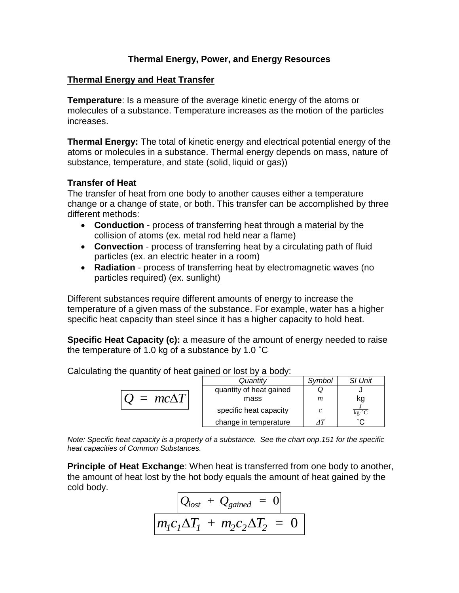## **Thermal Energy, Power, and Energy Resources**

## **Thermal Energy and Heat Transfer**

**Temperature**: Is a measure of the average kinetic energy of the atoms or molecules of a substance. Temperature increases as the motion of the particles increases.

**Thermal Energy:** The total of kinetic energy and electrical potential energy of the atoms or molecules in a substance. Thermal energy depends on mass, nature of substance, temperature, and state (solid, liquid or gas))

## **Transfer of Heat**

The transfer of heat from one body to another causes either a temperature change or a change of state, or both. This transfer can be accomplished by three different methods:

- **Conduction** process of transferring heat through a material by the collision of atoms (ex. metal rod held near a flame)
- **Convection** process of transferring heat by a circulating path of fluid particles (ex. an electric heater in a room)
- **Radiation** process of transferring heat by electromagnetic waves (no particles required) (ex. sunlight)

Different substances require different amounts of energy to increase the temperature of a given mass of the substance. For example, water has a higher specific heat capacity than steel since it has a higher capacity to hold heat.

**Specific Heat Capacity (c):** a measure of the amount of energy needed to raise the temperature of 1.0 kg of a substance by 1.0 ˚C

Calculating the quantity of heat gained or lost by a body:

|                       | Quantity                | Symbol | <b>SI Unit</b>                         |
|-----------------------|-------------------------|--------|----------------------------------------|
| $\Gamma = mc\Delta T$ | quantity of heat gained |        |                                        |
|                       | mass                    | m      | kg                                     |
|                       | specific heat capacity  | C      | $\overline{\text{kg} \cdot \text{°C}}$ |
|                       | change in temperature   |        | ∘∩                                     |

*Note: Specific heat capacity is a property of a substance. See the chart onp.151 for the specific heat capacities of Common Substances.*

**Principle of Heat Exchange**: When heat is transferred from one body to another, the amount of heat lost by the hot body equals the amount of heat gained by the cold body.

$$
Q_{lost} + Q_{gained} = 0
$$

$$
m_1C_1\Delta T_1 + m_2C_2\Delta T_2 = 0
$$